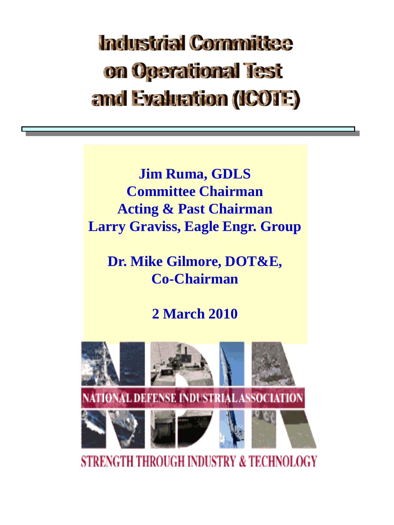# **Industrial Cornmittee** on Operational lest and Evaluation (ICOTE)

**Jim Ruma, GDLS Committee Chairman Acting & Past Chairman Larry Graviss, Eagle Engr. Group**

**Dr. Mike Gilmore, DOT&E, Co-Chairman**

### **2 March 2010**



**STRENGTH THROUGH INDUSTRY & TECHNOLOGY**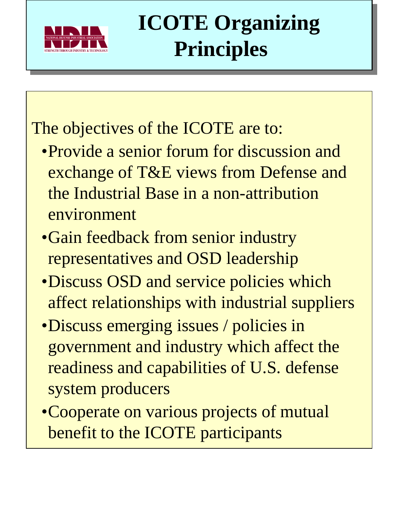

# **ICOTE Organizing Principles**

## The objectives of the ICOTE are to:

- •Provide a senior forum for discussion and exchange of T&E views from Defense and the Industrial Base in a non-attribution environment
- •Gain feedback from senior industry representatives and OSD leadership
- •Discuss OSD and service policies which affect relationships with industrial suppliers
- •Discuss emerging issues / policies in government and industry which affect the readiness and capabilities of U.S. defense system producers
- •Cooperate on various projects of mutual benefit to the ICOTE participants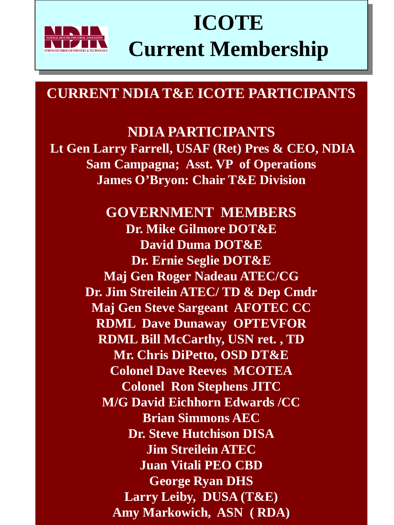

## **ICOTE Current Membership**

#### **CURRENT NDIA T&E ICOTE PARTICIPANTS**

#### **NDIA PARTICIPANTS**

**Lt Gen Larry Farrell, USAF (Ret) Pres & CEO, NDIA Sam Campagna; Asst. VP of Operations James O'Bryon: Chair T&E Division**

> **GOVERNMENT MEMBER[S](mailto:frank.apicella@atec.army.mil) Dr. Mike Gilmore DOT&E David Duma DOT&E Dr. Ernie Seglie DOT&E Maj Gen Roger Nadeau ATEC/CG Dr. Jim Streilein ATEC/ TD & Dep Cmdr Maj Gen Steve Sargeant AFOTEC CC RDML Dave Dunaway OPTEVFOR RDML Bill McCarthy, USN ret. , TD Mr. Chris DiPetto, OSD DT&E Colonel Dave Reeves MCOTEA Colonel Ron Stephens JITC M/G David Eichhorn Edwards /CC Brian Simmons AE[C](mailto:mike.dieckhoff@afotec.af.mil) Dr. Steve Hutchison DISA Jim Streilein ATEC Juan Vitali PEO CBD George Ryan DHS Larry Leiby, DUSA (T&E) Amy Markowich, ASN ( RDA)**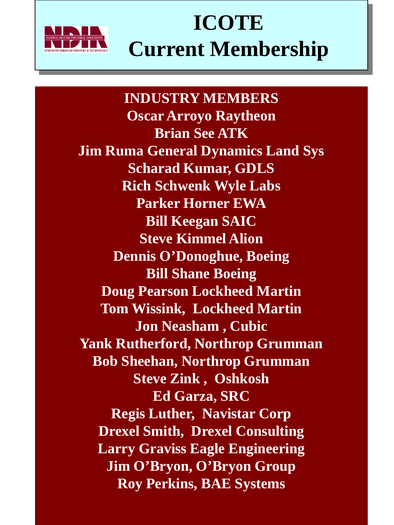

## **ICOTE Current Membership**

**INDUSTRY MEMBERS Oscar Arroyo Raytheon Brian See ATK Jim Ruma General Dynamics Land Sys Scharad Kumar, GDLS Rich Schwenk Wyle Labs Parker Horner EWA Bill Keegan SAIC Steve Kimmel Alion Dennis O'Donoghue, Boeing Bill Shane Boeing Doug Pearson Lockheed Martin Tom Wissink, Lockheed Martin Jon Neasham , Cubic Yank Rutherford, Northrop Grumman Bob Sheehan, Northrop Grumman Steve Zink , Oshkosh Ed Garza, SRC Regis Luther, Navistar Corp Drexel Smith, Drexel Consulting Larry Graviss Eagle Engineering Jim O'Bryon, O'Bryon Group Roy Perkins, BAE Systems**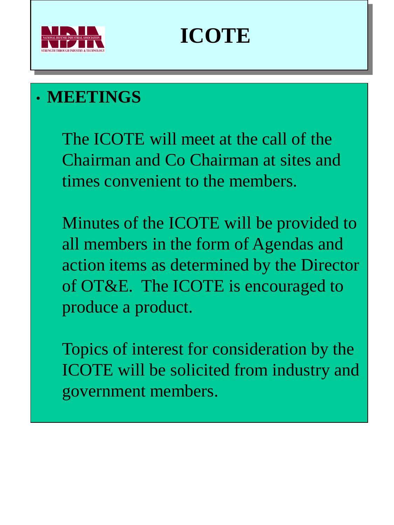

# **ICOTE**

### • **MEETINGS**

The ICOTE will meet at the call of the Chairman and Co Chairman at sites and times convenient to the members.

Minutes of the ICOTE will be provided to all members in the form of Agendas and action items as determined by the Director of OT&E. The ICOTE is encouraged to produce a product.

Topics of interest for consideration by the ICOTE will be solicited from industry and government members.